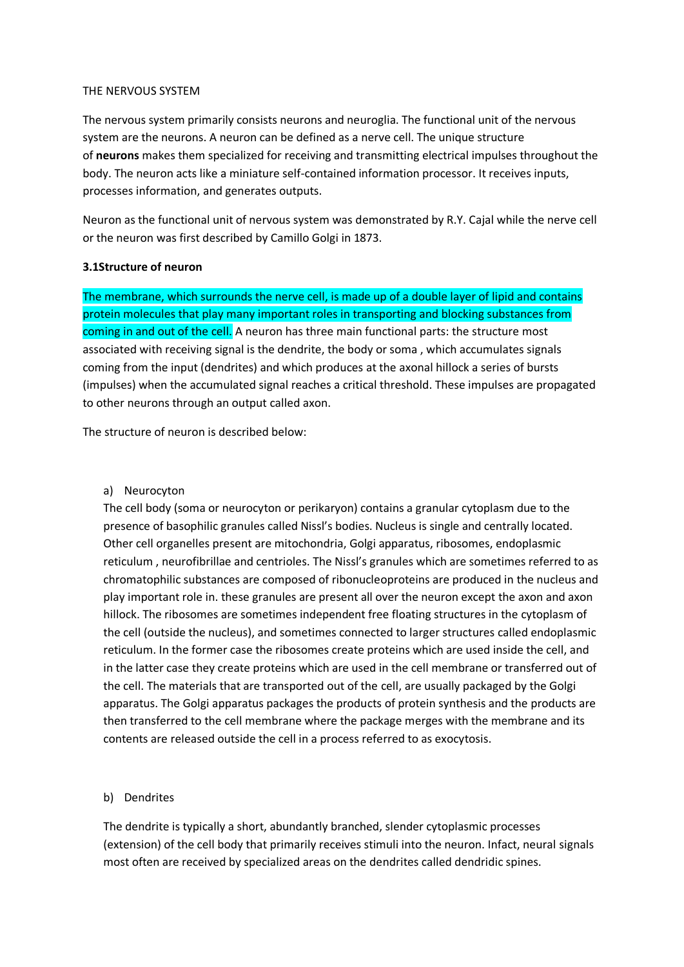#### THE NERVOUS SYSTEM

The nervous system primarily consists neurons and neuroglia. The functional unit of the nervous system are the neurons. A neuron can be defined as a nerve cell. The unique structure of **neurons** makes them specialized for receiving and transmitting electrical impulses throughout the body. The neuron acts like a miniature self-contained information processor. It receives inputs, processes information, and generates outputs.

Neuron as the functional unit of nervous system was demonstrated by R.Y. Cajal while the nerve cell or the neuron was first described by Camillo Golgi in 1873.

### **3.1Structure of neuron**

The membrane, which surrounds the nerve cell, is made up of a double layer of lipid and contains protein molecules that play many important roles in transporting and blocking substances from coming in and out of the cell. A neuron has three main functional parts: the structure most associated with receiving signal is the dendrite, the body or soma , which accumulates signals coming from the input (dendrites) and which produces at the axonal hillock a series of bursts (impulses) when the accumulated signal reaches a critical threshold. These impulses are propagated to other neurons through an output called axon.

The structure of neuron is described below:

a) Neurocyton

The cell body (soma or neurocyton or perikaryon) contains a granular cytoplasm due to the presence of basophilic granules called Nissl's bodies. Nucleus is single and centrally located. Other cell organelles present are mitochondria, Golgi apparatus, ribosomes, endoplasmic reticulum , neurofibrillae and centrioles. The Nissl's granules which are sometimes referred to as chromatophilic substances are composed of ribonucleoproteins are produced in the nucleus and play important role in. these granules are present all over the neuron except the axon and axon hillock. The ribosomes are sometimes independent free floating structures in the cytoplasm of the cell (outside the nucleus), and sometimes connected to larger structures called endoplasmic reticulum. In the former case the ribosomes create proteins which are used inside the cell, and in the latter case they create proteins which are used in the cell membrane or transferred out of the cell. The materials that are transported out of the cell, are usually packaged by the Golgi apparatus. The Golgi apparatus packages the products of protein synthesis and the products are then transferred to the cell membrane where the package merges with the membrane and its contents are released outside the cell in a process referred to as exocytosis.

### b) Dendrites

The dendrite is typically a short, abundantly branched, slender cytoplasmic processes (extension) of the cell body that primarily receives stimuli into the neuron. Infact, neural signals most often are received by specialized areas on the dendrites called dendridic spines.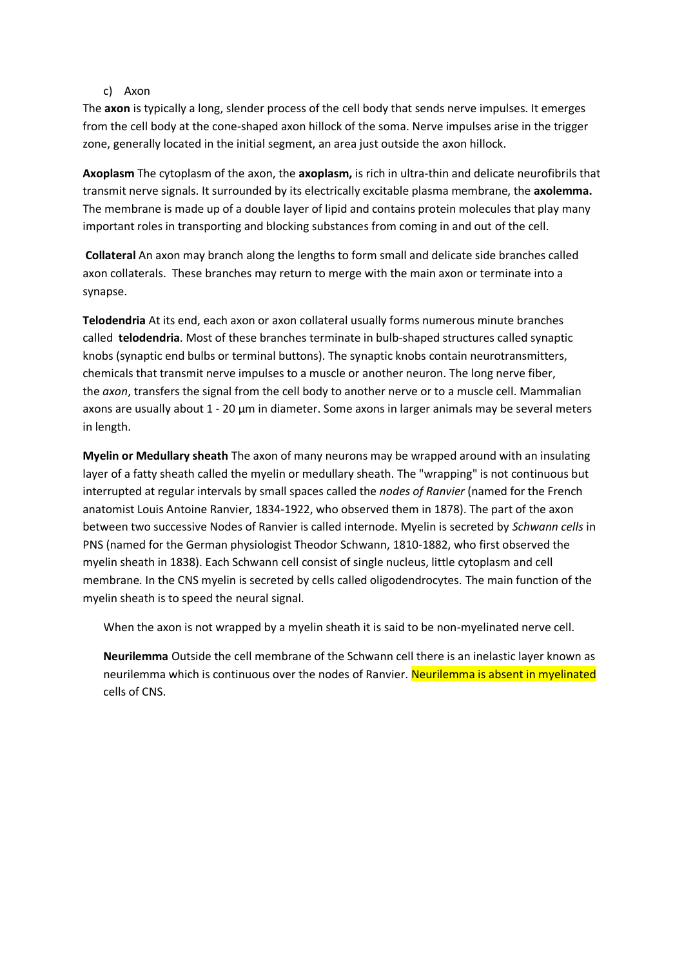## c) Axon

The **axon** is typically a long, slender process of the cell body that sends nerve impulses. It emerges from the cell body at the cone-shaped axon hillock of the soma. Nerve impulses arise in the trigger zone, generally located in the initial segment, an area just outside the axon hillock.

**Axoplasm** The cytoplasm of the axon, the **axoplasm,** is rich in ultra-thin and delicate neurofibrils that transmit nerve signals. It surrounded by its electrically excitable plasma membrane, the **axolemma.** The membrane is made up of a double layer of lipid and contains protein molecules that play many important roles in transporting and blocking substances from coming in and out of the cell.

**Collateral** An axon may branch along the lengths to form small and delicate side branches called axon collaterals. These branches may return to merge with the main axon or terminate into a synapse.

**Telodendria** At its end, each axon or axon collateral usually forms numerous minute branches called **telodendria**. Most of these branches terminate in bulb‐shaped structures called synaptic knobs (synaptic end bulbs or terminal buttons). The synaptic knobs contain neurotransmitters, chemicals that transmit nerve impulses to a muscle or another neuron. The long nerve fiber, the *axon*, transfers the signal from the cell body to another nerve or to a muscle cell. Mammalian axons are usually about 1 - 20 µm in diameter. Some axons in larger animals may be several meters in length.

**Myelin or Medullary sheath** The axon of many neurons may be wrapped around with an insulating layer of a fatty sheath called the myelin or medullary sheath. The "wrapping" is not continuous but interrupted at regular intervals by small spaces called the *nodes of Ranvier* (named for the French anatomist Louis Antoine Ranvier, 1834-1922, who observed them in 1878). The part of the axon between two successive Nodes of Ranvier is called internode. Myelin is secreted by *Schwann cells* in PNS (named for the German physiologist Theodor Schwann, 1810-1882, who first observed the myelin sheath in 1838). Each Schwann cell consist of single nucleus, little cytoplasm and cell membrane. In the CNS myelin is secreted by cells called oligodendrocytes. The main function of the myelin sheath is to speed the neural signal.

When the axon is not wrapped by a myelin sheath it is said to be non-myelinated nerve cell.

**Neurilemma** Outside the cell membrane of the Schwann cell there is an inelastic layer known as neurilemma which is continuous over the nodes of Ranvier. Neurilemma is absent in myelinated cells of CNS.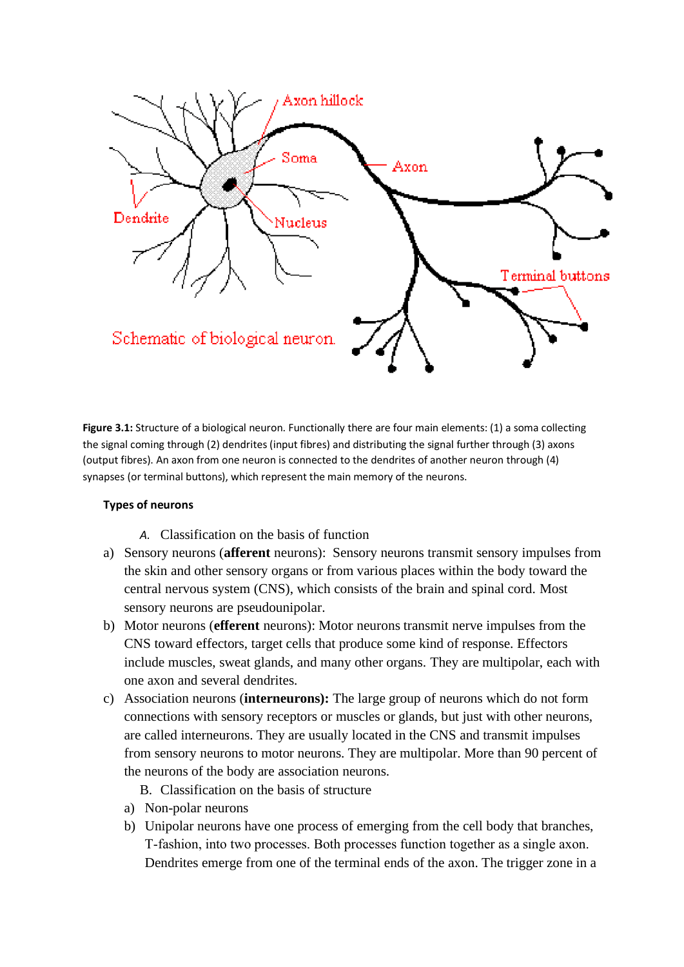

**Figure 3.1:** Structure of a biological neuron. Functionally there are four main elements: (1) a soma collecting the signal coming through (2) dendrites (input fibres) and distributing the signal further through (3) axons (output fibres). An axon from one neuron is connected to the dendrites of another neuron through (4) synapses (or terminal buttons), which represent the main memory of the neurons.

# **Types of neurons**

- *A.* Classification on the basis of function
- a) Sensory neurons (**afferent** neurons): Sensory neurons transmit sensory impulses from the skin and other sensory organs or from various places within the body toward the central nervous system (CNS), which consists of the brain and spinal cord. Most sensory neurons are pseudounipolar.
- b) Motor neurons (**efferent** neurons): Motor neurons transmit nerve impulses from the CNS toward effectors, target cells that produce some kind of response. Effectors include muscles, sweat glands, and many other organs. They are multipolar, each with one axon and several dendrites.
- c) Association neurons (**interneurons):** The large group of neurons which do not form connections with sensory receptors or muscles or glands, but just with other neurons, are called interneurons. They are usually located in the CNS and transmit impulses from sensory neurons to motor neurons. They are multipolar. More than 90 percent of the neurons of the body are association neurons.
	- B. Classification on the basis of structure
	- a) Non-polar neurons
	- b) Unipolar neurons have one process of emerging from the cell body that branches, T‐fashion, into two processes. Both processes function together as a single axon. Dendrites emerge from one of the terminal ends of the axon. The trigger zone in a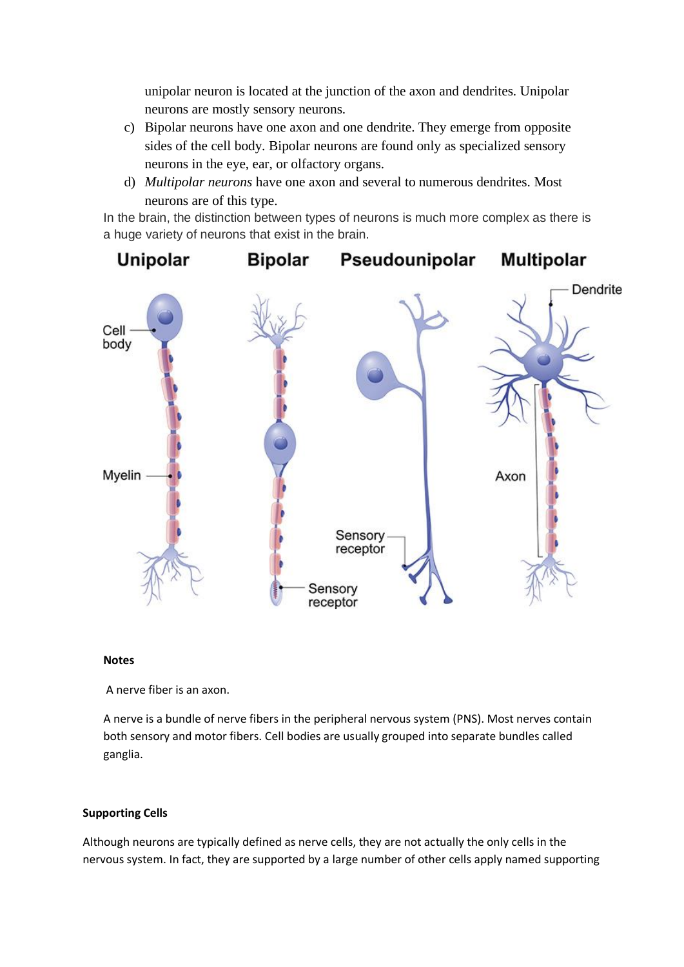unipolar neuron is located at the junction of the axon and dendrites. Unipolar neurons are mostly sensory neurons.

- c) Bipolar neurons have one axon and one dendrite. They emerge from opposite sides of the cell body. Bipolar neurons are found only as specialized sensory neurons in the eye, ear, or olfactory organs.
- d) *Multipolar neurons* have one axon and several to numerous dendrites. Most neurons are of this type.

In the brain, the distinction between types of neurons is much more complex as there is a huge variety of neurons that exist in the brain.



#### **Notes**

A nerve fiber is an axon.

A nerve is a bundle of nerve fibers in the peripheral nervous system (PNS). Most nerves contain both sensory and motor fibers. Cell bodies are usually grouped into separate bundles called ganglia.

## **Supporting Cells**

Although neurons are typically defined as nerve cells, they are not actually the only cells in the nervous system. In fact, they are supported by a large number of other cells apply named supporting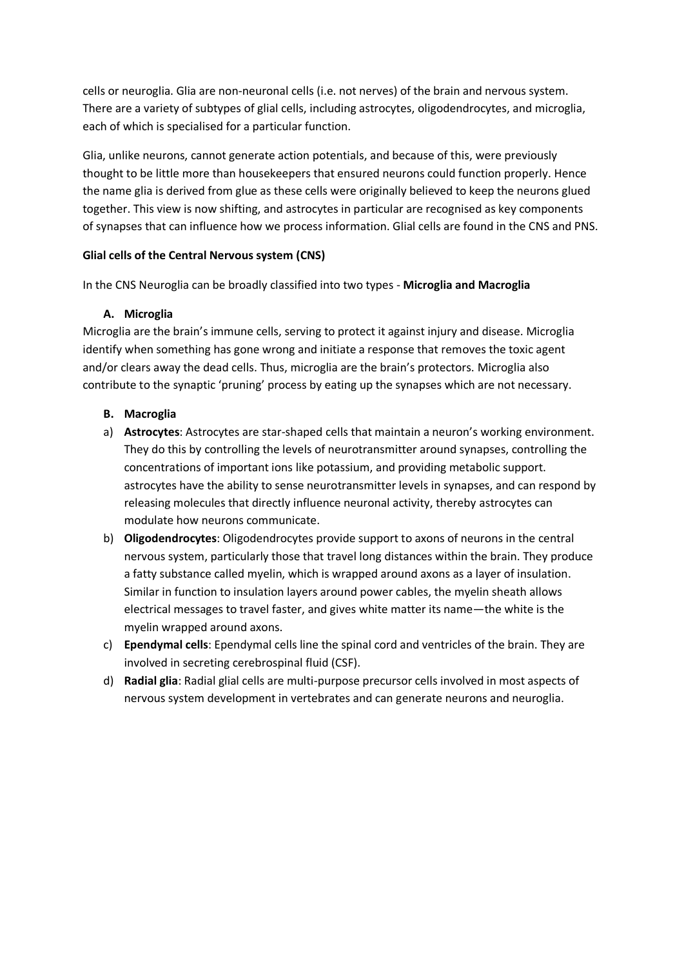cells or neuroglia. Glia are non-neuronal cells (i.e. not nerves) of the brain and nervous system. There are a [variety of subtypes](https://qbi.uq.edu.au/brain-basics/brain/brain-physiology/types-glia) of glial cells, including astrocytes, oligodendrocytes, and microglia, each of which is specialised for a particular function.

Glia, unlike neurons, cannot generate action potentials, and because of this, were previously thought to be little more than housekeepers that ensured neurons could function properly. Hence the name glia is derived from glue as these cells were originally believed to keep the neurons glued together. This view is now shifting, and astrocytes in particular are recognised as key components of [synapses](https://qbi.uq.edu.au/brain-basics/brain/brain-physiology/action-potentials-and-synapses) that can influence how we process information. Glial cells are found in the CNS and PNS.

# **Glial cells of the Central Nervous system (CNS)**

In the CNS Neuroglia can be broadly classified into two types - **Microglia and Macroglia**

# **A. Microglia**

Microglia are the brain's immune cells, serving to protect it against injury and disease. Microglia identify when something has gone wrong and initiate a response that removes the toxic agent and/or clears away the dead cells. Thus, microglia are the brain's protectors. Microglia also contribute to the synaptic 'pruning' process by eating up the synapses which are not necessary.

# **B. Macroglia**

- a) **Astrocytes**: Astrocytes are star-shaped cells that maintain a neuron's working environment. They do this by controlling the levels of neurotransmitter around synapses, controlling the concentrations of important ions like potassium, and providing metabolic support. astrocytes have the ability to sense neurotransmitter levels in synapses, and can respond by releasing molecules that directly influence neuronal activity, thereby [astrocytes can](https://alieastrocyte.wordpress.com/2015/08/04/threes-company-the-tripartite-synapse/)  [modulate how neurons communicate.](https://alieastrocyte.wordpress.com/2015/08/04/threes-company-the-tripartite-synapse/)
- b) **Oligodendrocytes**: Oligodendrocytes provide support to axons of neurons in the central nervous system, particularly those that travel long distances within the brain. They produce a fatty substance called myelin, which is wrapped around axons as a layer of insulation. Similar in function to insulation layers around power cables, the myelin sheath allows electrical messages to travel faster, and gives white matter its name—the white is the myelin wrapped around axons.
- c) **Ependymal cells**: Ependymal cells line the spinal cord and ventricles of the brain. They are involved in secreting cerebrospinal fluid (CSF).
- d) **Radial glia**: Radial glial cells are multi-purpose precursor cells involved in most aspects of nervous system development in vertebrates and can generate neurons and neuroglia.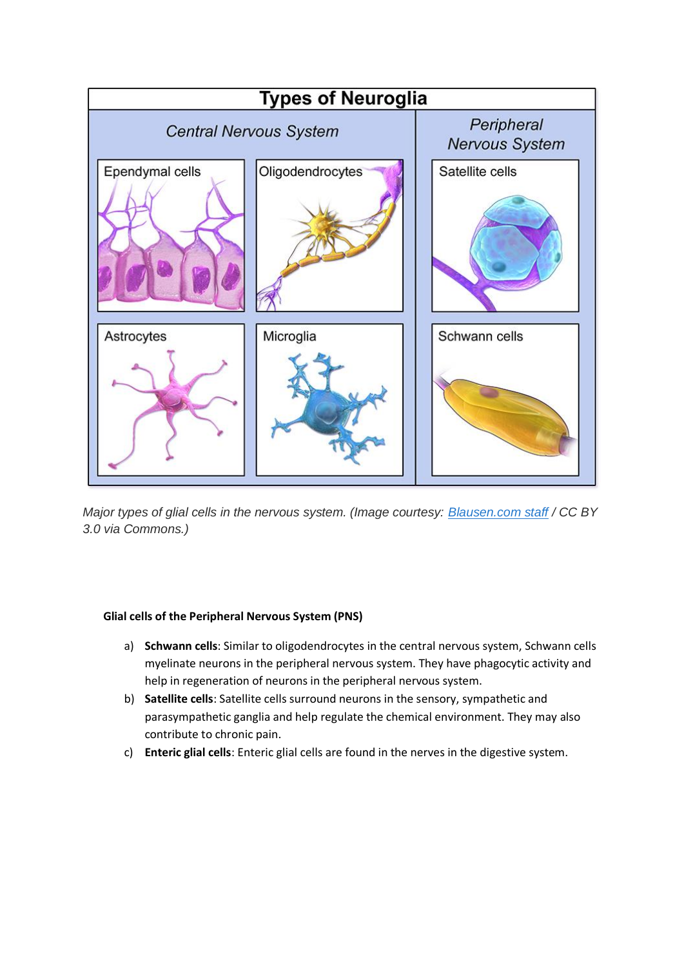

*Major types of glial cells in the nervous system. (Image courtesy: [Blausen.com staff](http://commons.wikimedia.org/wiki/File:Blausen_0870_TypesofNeuroglia.png#/media/File:Blausen_0870_TypesofNeuroglia.png) / CC BY 3.0 via Commons.)*

# **Glial cells of the Peripheral Nervous System (PNS)**

- a) **Schwann cells**: Similar to oligodendrocytes in the central nervous system, Schwann cells myelinate neurons in the peripheral nervous system. They have phagocytic activity and help in regeneration of neurons in the peripheral nervous system.
- b) **Satellite cells**: Satellite cells surround neurons in the sensory, sympathetic and parasympathetic ganglia and help regulate the chemical environment. They may also [contribute to chronic pain.](https://www.ncbi.nlm.nih.gov/pmc/articles/PMC2604845/)
- c) **Enteric glial cells**: Enteric glial cells are found in the nerves in the digestive system.